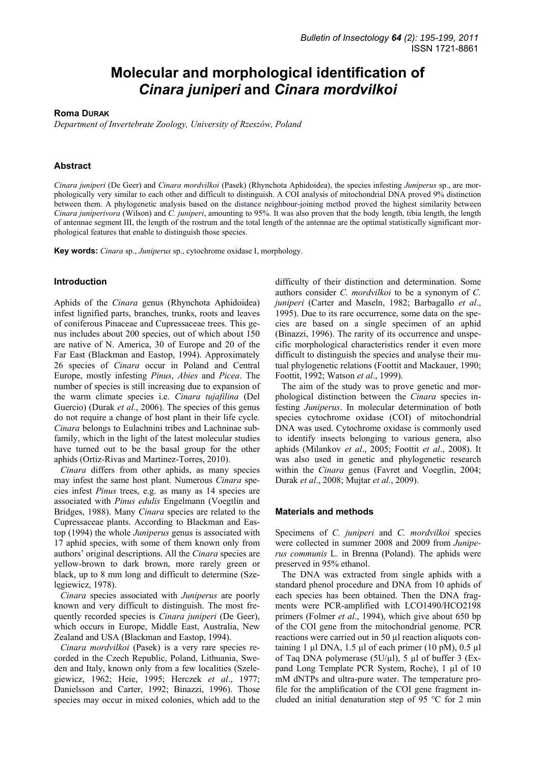# **Molecular and morphological identification of**  *Cinara juniperi* **and** *Cinara mordvilkoi*

## **Roma DURAK**

*Department of Invertebrate Zoology, University of Rzeszów, Poland* 

# **Abstract**

*Cinara juniperi* (De Geer) and *Cinara mordvilkoi* (Pasek) (Rhynchota Aphidoidea), the species infesting *Juniperus* sp., are morphologically very similar to each other and difficult to distinguish. A COI analysis of mitochondrial DNA proved 9% distinction between them. A phylogenetic analysis based on the distance neighbour-joining method proved the highest similarity between *Cinara juniperivora* (Wilson) and *C. juniperi*, amounting to 95%. It was also proven that the body length, tibia length, the length of antennae segment III, the length of the rostrum and the total length of the antennae are the optimal statistically significant morphological features that enable to distinguish those species.

**Key words:** *Cinara* sp., *Juniperus* sp., cytochrome oxidase I, morphology.

# **Introduction**

Aphids of the *Cinara* genus (Rhynchota Aphidoidea) infest lignified parts, branches, trunks, roots and leaves of coniferous Pinaceae and Cupressaceae trees. This genus includes about 200 species, out of which about 150 are native of N. America, 30 of Europe and 20 of the Far East (Blackman and Eastop, 1994). Approximately 26 species of *Cinara* occur in Poland and Central Europe, mostly infesting *Pinus*, *Abies* and *Picea*. The number of species is still increasing due to expansion of the warm climate species i.e. *Cinara tujafilina* (Del Guercio) (Durak *et al.*, 2006). The species of this genus do not require a change of host plant in their life cycle. *Cinara* belongs to Eulachnini tribes and Lachninae subfamily, which in the light of the latest molecular studies have turned out to be the basal group for the other aphids (Ortiz-Rivas and Martinez-Torres, 2010).

*Cinara* differs from other aphids, as many species may infest the same host plant. Numerous *Cinara* species infest *Pinus* trees, e.g. as many as 14 species are associated with *Pinus edulis* Engelmann (Voegtlin and Bridges, 1988). Many *Cinara* species are related to the Cupressaceae plants. According to Blackman and Eastop (1994) the whole *Juniperus* genus is associated with 17 aphid species, with some of them known only from authors' original descriptions. All the *Cinara* species are yellow-brown to dark brown, more rarely green or black, up to 8 mm long and difficult to determine (Szelęgiewicz, 1978).

*Cinara* species associated with *Juniperus* are poorly known and very difficult to distinguish. The most frequently recorded species is *Cinara juniperi* (De Geer), which occurs in Europe, Middle East, Australia, New Zealand and USA (Blackman and Eastop, 1994).

*Cinara mordvilkoi* (Pasek) is a very rare species recorded in the Czech Republic, Poland, Lithuania, Sweden and Italy, known only from a few localities (Szelegiewicz, 1962; Heie, 1995; Herczek *et al*., 1977; Danielsson and Carter, 1992; Binazzi, 1996). Those species may occur in mixed colonies, which add to the

difficulty of their distinction and determination. Some authors consider *C. mordvilkoi* to be a synonym of *C. juniperi* (Carter and Maseln, 1982; Barbagallo *et al*., 1995). Due to its rare occurrence, some data on the species are based on a single specimen of an aphid (Binazzi, 1996). The rarity of its occurrence and unspecific morphological characteristics render it even more difficult to distinguish the species and analyse their mutual phylogenetic relations (Foottit and Mackauer, 1990; Foottit, 1992; Watson *et al*., 1999).

The aim of the study was to prove genetic and morphological distinction between the *Cinara* species infesting *Juniperus*. In molecular determination of both species cytochrome oxidase (COI) of mitochondrial DNA was used. Cytochrome oxidase is commonly used to identify insects belonging to various genera, also aphids (Milankov *et al*., 2005; Foottit *et al*., 2008). It was also used in genetic and phylogenetic research within the *Cinara* genus (Favret and Voegtlin, 2004; Durak *et al*., 2008; Mujtar *et al.*, 2009).

#### **Materials and methods**

Specimens of *C. juniperi* and *C. mordvilkoi* species were collected in summer 2008 and 2009 from *Juniperus communis* L. in Brenna (Poland). The aphids were preserved in 95% ethanol.

The DNA was extracted from single aphids with a standard phenol procedure and DNA from 10 aphids of each species has been obtained. Then the DNA fragments were PCR-amplified with LCO1490/HCO2198 primers (Folmer *et al*., 1994), which give about 650 bp of the COI gene from the mitochondrial genome. PCR reactions were carried out in 50 µl reaction aliquots containing 1  $\mu$ l DNA, 1.5  $\mu$ l of each primer (10 pM), 0.5  $\mu$ l of Taq DNA polymerase  $(5U/\mu l)$ , 5  $\mu l$  of buffer 3 (Expand Long Template PCR System, Roche), 1 µl of 10 mM dNTPs and ultra-pure water. The temperature profile for the amplification of the COI gene fragment included an initial denaturation step of 95 °C for 2 min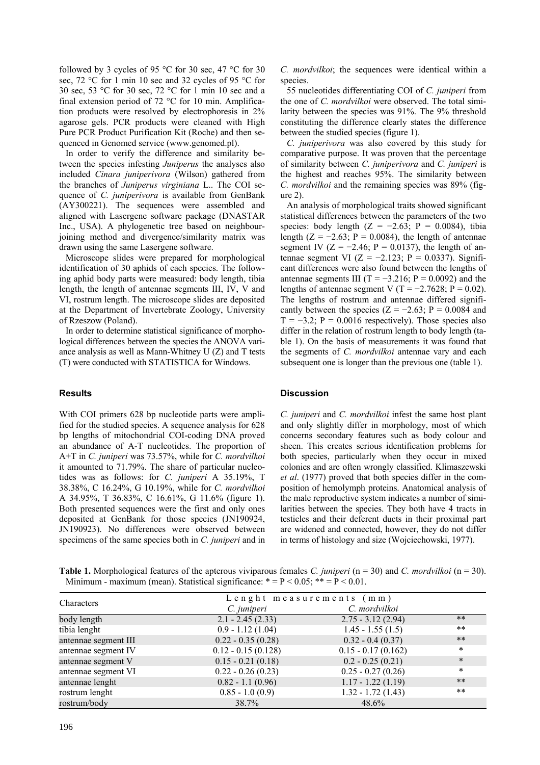followed by 3 cycles of 95 °C for 30 sec, 47 °C for 30 sec, 72 °C for 1 min 10 sec and 32 cycles of 95 °C for 30 sec, 53 °C for 30 sec, 72 °C for 1 min 10 sec and a final extension period of 72 °C for 10 min. Amplification products were resolved by electrophoresis in 2% agarose gels. PCR products were cleaned with High Pure PCR Product Purification Kit (Roche) and then sequenced in Genomed service (www.genomed.pl).

In order to verify the difference and similarity between the species infesting *Juniperus* the analyses also included *Cinara juniperivora* (Wilson) gathered from the branches of *Juniperus virginiana* L.. The COI sequence of *C. juniperivora* is available from GenBank (AY300221). The sequences were assembled and aligned with Lasergene software package (DNASTAR Inc., USA). A phylogenetic tree based on neighbourjoining method and divergence/similarity matrix was drawn using the same Lasergene software.

Microscope slides were prepared for morphological identification of 30 aphids of each species. The following aphid body parts were measured: body length, tibia length, the length of antennae segments III, IV, V and VI, rostrum length. The microscope slides are deposited at the Department of Invertebrate Zoology, University of Rzeszow (Poland).

In order to determine statistical significance of morphological differences between the species the ANOVA variance analysis as well as Mann-Whitney U (Z) and T tests (T) were conducted with STATISTICA for Windows.

## **Results**

With COI primers 628 bp nucleotide parts were amplified for the studied species. A sequence analysis for 628 bp lengths of mitochondrial COI-coding DNA proved an abundance of A-T nucleotides. The proportion of A+T in *C. juniperi* was 73.57%, while for *C. mordvilkoi* it amounted to 71.79%. The share of particular nucleotides was as follows: for *C. juniperi* A 35.19%, T 38.38%, C 16.24%, G 10.19%, while for *C. mordvilkoi* A 34.95%, T 36.83%, C 16.61%, G 11.6% (figure 1). Both presented sequences were the first and only ones deposited at GenBank for those species (JN190924, JN190923). No differences were observed between specimens of the same species both in *C. juniperi* and in *C. mordvilkoi*; the sequences were identical within a species.

55 nucleotides differentiating COI of *C. juniperi* from the one of *C. mordvilkoi* were observed. The total similarity between the species was 91%. The 9% threshold constituting the difference clearly states the difference between the studied species (figure 1).

*C. juniperivora* was also covered by this study for comparative purpose. It was proven that the percentage of similarity between *C. juniperivora* and *C. juniperi* is the highest and reaches 95%. The similarity between *C. mordvilkoi* and the remaining species was 89% (figure 2).

An analysis of morphological traits showed significant statistical differences between the parameters of the two species: body length  $(Z = -2.63; P = 0.0084)$ , tibia length  $(Z = -2.63; P = 0.0084)$ , the length of antennae segment IV ( $Z = -2.46$ ; P = 0.0137), the length of antennae segment VI (Z = -2.123; P = 0.0337). Significant differences were also found between the lengths of antennae segments III (T =  $-3.216$ ; P = 0.0092) and the lengths of antennae segment V (T =  $-2.7628$ ; P = 0.02). The lengths of rostrum and antennae differed significantly between the species ( $Z = -2.63$ ; P = 0.0084 and  $T = -3.2$ ; P = 0.0016 respectively). Those species also differ in the relation of rostrum length to body length (table 1). On the basis of measurements it was found that the segments of *C. mordvilkoi* antennae vary and each subsequent one is longer than the previous one (table 1).

## **Discussion**

*C. juniperi* and *C. mordvilkoi* infest the same host plant and only slightly differ in morphology, most of which concerns secondary features such as body colour and sheen. This creates serious identification problems for both species, particularly when they occur in mixed colonies and are often wrongly classified. Klimaszewski *et al*. (1977) proved that both species differ in the composition of hemolymph proteins. Anatomical analysis of the male reproductive system indicates a number of similarities between the species. They both have 4 tracts in testicles and their deferent ducts in their proximal part are widened and connected, however, they do not differ in terms of histology and size (Wojciechowski, 1977).

**Table 1.** Morphological features of the apterous viviparous females *C. juniperi* (n = 30) and *C. mordvilkoi* (n = 30). Minimum - maximum (mean). Statistical significance:  $* = P < 0.05$ ;  $** = P < 0.01$ .

| Characters           | Lenght measurements (mm) |                      |        |  |  |
|----------------------|--------------------------|----------------------|--------|--|--|
|                      | C. juniperi              | C. mordvilkoi        |        |  |  |
| body length          | $2.1 - 2.45(2.33)$       | $2.75 - 3.12(2.94)$  | $***$  |  |  |
| tibia lenght         | $0.9 - 1.12(1.04)$       | $1.45 - 1.55(1.5)$   | $***$  |  |  |
| antennae segment III | $0.22 - 0.35(0.28)$      | $0.32 - 0.4(0.37)$   | $***$  |  |  |
| antennae segment IV  | $0.12 - 0.15(0.128)$     | $0.15 - 0.17(0.162)$ | $\ast$ |  |  |
| antennae segment V   | $0.15 - 0.21(0.18)$      | $0.2 - 0.25(0.21)$   | $\ast$ |  |  |
| antennae segment VI  | $0.22 - 0.26(0.23)$      | $0.25 - 0.27(0.26)$  | $\ast$ |  |  |
| antennae lenght      | $0.82 - 1.1(0.96)$       | $1.17 - 1.22(1.19)$  | $***$  |  |  |
| rostrum lenght       | $0.85 - 1.0(0.9)$        | $1.32 - 1.72(1.43)$  | $***$  |  |  |
| rostrum/body         | 38.7%                    | 48.6%                |        |  |  |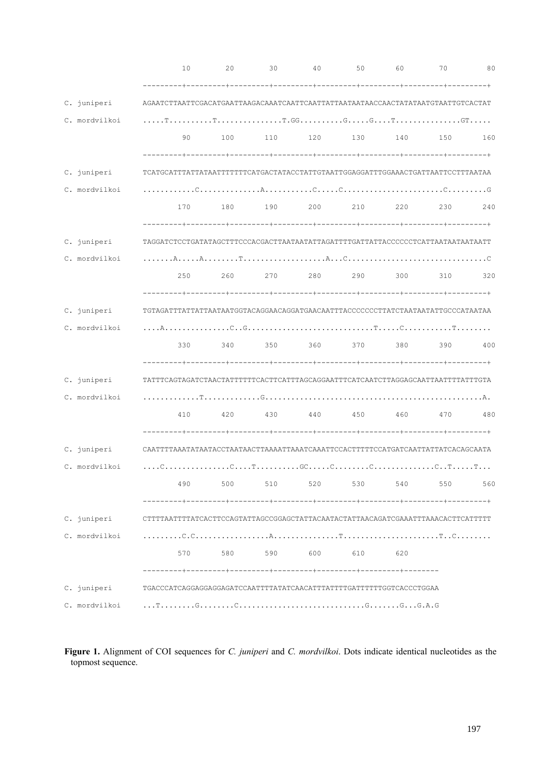|               | 10                                                                                                                                                                                                                                                                                                                | 20  | 30          | 40  | 50                  | 60      | 70                      | 80  |
|---------------|-------------------------------------------------------------------------------------------------------------------------------------------------------------------------------------------------------------------------------------------------------------------------------------------------------------------|-----|-------------|-----|---------------------|---------|-------------------------|-----|
|               |                                                                                                                                                                                                                                                                                                                   |     |             |     |                     |         |                         |     |
| C. juniperi   | AGAATCTTAATTCGACATGAATTAAGACAAATCAATTCAATTATATAATAACCAACTATATAATGTAATTGTCACTAT                                                                                                                                                                                                                                    |     |             |     |                     |         |                         |     |
| C. mordvilkoi |                                                                                                                                                                                                                                                                                                                   |     |             |     |                     |         |                         |     |
|               | 90                                                                                                                                                                                                                                                                                                                | 100 | 110         |     | 120 130 140 150     |         |                         | 160 |
|               |                                                                                                                                                                                                                                                                                                                   |     |             |     |                     |         |                         |     |
| C. juniperi   | TCATGCATTTATTATAATTTTTTTCATGACTATACCTATTGTAATTGGAGGATTTGGAAACTGATTAATTCCTTTAATAA                                                                                                                                                                                                                                  |     |             |     |                     |         |                         |     |
| C. mordvilkoi |                                                                                                                                                                                                                                                                                                                   |     |             |     |                     |         |                         |     |
|               | 170                                                                                                                                                                                                                                                                                                               | 180 | 190         | 200 | 210                 | 220     | 230                     | 240 |
|               |                                                                                                                                                                                                                                                                                                                   |     |             |     |                     |         |                         |     |
| C. juniperi   | TAGGATCTCCTGATATAGCTTTCCCACGACTTAATAATATTAGATTTTGATTATTACCCCCCTCATTAATAATAATAATT                                                                                                                                                                                                                                  |     |             |     |                     |         |                         |     |
| C. mordvilkoi |                                                                                                                                                                                                                                                                                                                   |     |             |     |                     |         |                         |     |
|               | 250                                                                                                                                                                                                                                                                                                               | 260 |             |     |                     |         | 270 280 290 300 310 320 |     |
|               |                                                                                                                                                                                                                                                                                                                   |     |             |     |                     |         |                         |     |
| C. juniperi   | TGTAGATTTATTATTAATAATGGTACAGGAACAGGATGAACAATTTACCCCCCCTTATCTAATAATATTGCCCATAATAA                                                                                                                                                                                                                                  |     |             |     |                     |         |                         |     |
| C. mordvilkoi |                                                                                                                                                                                                                                                                                                                   |     |             |     |                     |         |                         |     |
|               | 330                                                                                                                                                                                                                                                                                                               | 340 |             |     | 350 360 370 380 390 |         |                         | 400 |
|               |                                                                                                                                                                                                                                                                                                                   |     |             |     |                     |         |                         |     |
| C. juniperi   |                                                                                                                                                                                                                                                                                                                   |     |             |     |                     |         |                         |     |
| C. mordvilkoi |                                                                                                                                                                                                                                                                                                                   |     |             |     |                     |         |                         |     |
|               | 410                                                                                                                                                                                                                                                                                                               | 420 | 430         | 440 | 450                 | 460 470 |                         | 480 |
|               |                                                                                                                                                                                                                                                                                                                   |     |             |     |                     |         |                         |     |
| C. juniperi   | CAATTTTAAATATAATACCTAATAACTTAAAATTAAATCAAATTCCACTTTTTCCATGATCAATTATTATCACAGCAATA                                                                                                                                                                                                                                  |     |             |     |                     |         |                         |     |
| C. mordvilkoi | $\ldots$ . C. $\ldots$ . $\ldots$ . $\ldots$ . $\ldots$ . $\ldots$ . $\ldots$ . $\ldots$ . $\ldots$ . $\ldots$ . $\ldots$ . $\ldots$ . $\ldots$ . $\ldots$ . $\ldots$ . $\ldots$ . $\ldots$ . $\ldots$ . $\ldots$ . $\ldots$ . $\ldots$ . $\ldots$ . $\ldots$ . $\ldots$ . $\ldots$ . $\ldots$ . $\ldots$ . $\ld$ |     |             |     |                     |         |                         |     |
|               | 490                                                                                                                                                                                                                                                                                                               | 500 |             |     | 510 520 530 540 550 |         |                         | 560 |
|               |                                                                                                                                                                                                                                                                                                                   |     |             |     |                     |         |                         |     |
| C. juniperi   | CTTTTAATTTTATCACTTCCAGTATTAGCCGGAGCTATTACAATACTATTAACAGATCGAAATTTAAACACTTCATTTTT                                                                                                                                                                                                                                  |     |             |     |                     |         |                         |     |
| C. mordvilkoi |                                                                                                                                                                                                                                                                                                                   |     |             |     |                     |         |                         |     |
|               |                                                                                                                                                                                                                                                                                                                   |     | 570 580 590 |     | 600 610             | 620     |                         |     |
|               |                                                                                                                                                                                                                                                                                                                   |     |             |     |                     |         |                         |     |
| C. juniperi   |                                                                                                                                                                                                                                                                                                                   |     |             |     |                     |         |                         |     |
| C. mordvilkoi |                                                                                                                                                                                                                                                                                                                   |     |             |     |                     |         |                         |     |

**Figure 1.** Alignment of COI sequences for *C. juniperi* and *C. mordvilkoi*. Dots indicate identical nucleotides as the topmost sequence.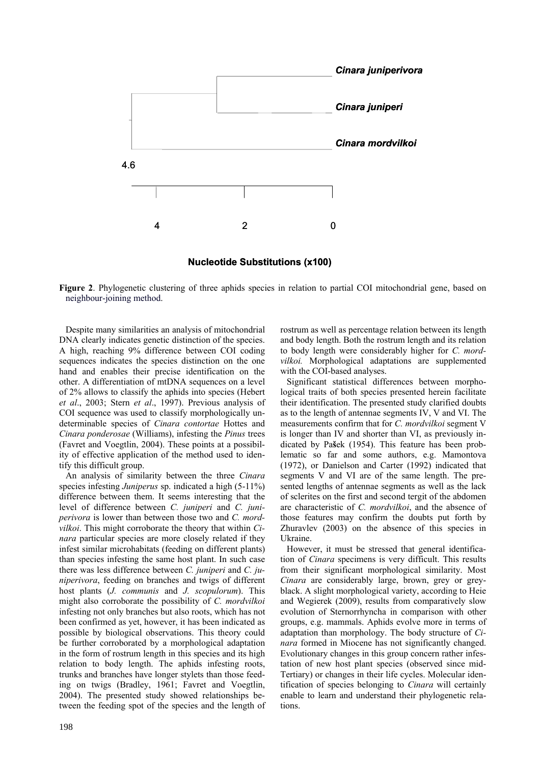

**Nucleotide Substitutions (x100)**

**Figure 2**. Phylogenetic clustering of three aphids species in relation to partial COI mitochondrial gene, based on neighbour-joining method.

Despite many similarities an analysis of mitochondrial DNA clearly indicates genetic distinction of the species. A high, reaching 9% difference between COI coding sequences indicates the species distinction on the one hand and enables their precise identification on the other. A differentiation of mtDNA sequences on a level of 2% allows to classify the aphids into species (Hebert *et al*., 2003; Stern *et al*., 1997). Previous analysis of COI sequence was used to classify morphologically undeterminable species of *Cinara contortae* Hottes and *Cinara ponderosae* (Williams), infesting the *Pinus* trees (Favret and Voegtlin, 2004). These points at a possibility of effective application of the method used to identify this difficult group.

An analysis of similarity between the three *Cinara* species infesting *Juniperus* sp. indicated a high (5-11%) difference between them. It seems interesting that the level of difference between *C. juniperi* and *C. juniperivora* is lower than between those two and *C. mordvilkoi*. This might corroborate the theory that within *Cinara* particular species are more closely related if they infest similar microhabitats (feeding on different plants) than species infesting the same host plant. In such case there was less difference between *C. juniperi* and *C. juniperivora*, feeding on branches and twigs of different host plants (*J. communis* and *J. scopulorum*). This might also corroborate the possibility of *C. mordvilkoi* infesting not only branches but also roots, which has not been confirmed as yet, however, it has been indicated as possible by biological observations. This theory could be further corroborated by a morphological adaptation in the form of rostrum length in this species and its high relation to body length. The aphids infesting roots, trunks and branches have longer stylets than those feeding on twigs (Bradley, 1961; Favret and Voegtlin, 2004). The presented study showed relationships between the feeding spot of the species and the length of rostrum as well as percentage relation between its length and body length. Both the rostrum length and its relation to body length were considerably higher for *C. mordvilkoi.* Morphological adaptations are supplemented with the COI-based analyses.

Significant statistical differences between morphological traits of both species presented herein facilitate their identification. The presented study clarified doubts as to the length of antennae segments IV, V and VI. The measurements confirm that for *C. mordvilkoi* segment V is longer than IV and shorter than VI, as previously indicated by Pa**š**ek (1954). This feature has been problematic so far and some authors, e.g. Mamontova (1972), or Danielson and Carter (1992) indicated that segments V and VI are of the same length. The presented lengths of antennae segments as well as the lack of sclerites on the first and second tergit of the abdomen are characteristic of *C. mordvilkoi*, and the absence of those features may confirm the doubts put forth by Zhuravlev (2003) on the absence of this species in Ukraine.

However, it must be stressed that general identification of *Cinara* specimens is very difficult. This results from their significant morphological similarity. Most *Cinara* are considerably large, brown, grey or greyblack. A slight morphological variety, according to Heie and Wegierek (2009), results from comparatively slow evolution of Sternorrhyncha in comparison with other groups, e.g. mammals. Aphids evolve more in terms of adaptation than morphology. The body structure of *Cinara* formed in Miocene has not significantly changed. Evolutionary changes in this group concern rather infestation of new host plant species (observed since mid-Tertiary) or changes in their life cycles. Molecular identification of species belonging to *Cinara* will certainly enable to learn and understand their phylogenetic relations.